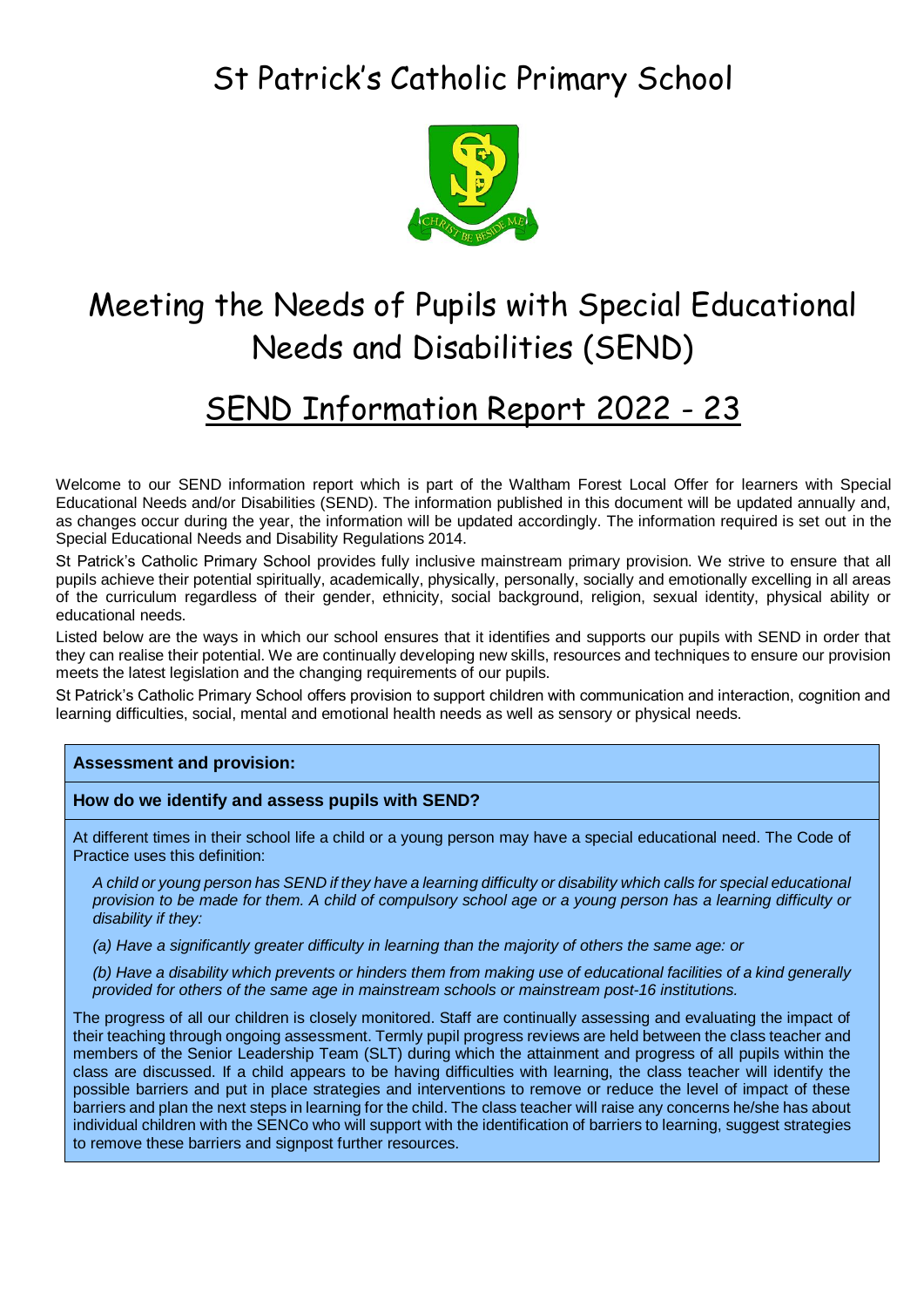## St Patrick's Catholic Primary School



# Meeting the Needs of Pupils with Special Educational Needs and Disabilities (SEND)

## SEND Information Report 2022 - 23

Welcome to our SEND information report which is part of the Waltham Forest Local Offer for learners with Special Educational Needs and/or Disabilities (SEND). The information published in this document will be updated annually and, as changes occur during the year, the information will be updated accordingly. The information required is set out in the Special Educational Needs and Disability Regulations 2014.

St Patrick's Catholic Primary School provides fully inclusive mainstream primary provision. We strive to ensure that all pupils achieve their potential spiritually, academically, physically, personally, socially and emotionally excelling in all areas of the curriculum regardless of their gender, ethnicity, social background, religion, sexual identity, physical ability or educational needs.

Listed below are the ways in which our school ensures that it identifies and supports our pupils with SEND in order that they can realise their potential. We are continually developing new skills, resources and techniques to ensure our provision meets the latest legislation and the changing requirements of our pupils.

St Patrick's Catholic Primary School offers provision to support children with communication and interaction, cognition and learning difficulties, social, mental and emotional health needs as well as sensory or physical needs.

## **Assessment and provision:**

## **How do we identify and assess pupils with SEND?**

At different times in their school life a child or a young person may have a special educational need. The Code of Practice uses this definition:

*A child or young person has SEND if they have a learning difficulty or disability which calls for special educational provision to be made for them. A child of compulsory school age or a young person has a learning difficulty or disability if they:*

*(a) Have a significantly greater difficulty in learning than the majority of others the same age: or*

*(b) Have a disability which prevents or hinders them from making use of educational facilities of a kind generally provided for others of the same age in mainstream schools or mainstream post-16 institutions.*

The progress of all our children is closely monitored. Staff are continually assessing and evaluating the impact of their teaching through ongoing assessment. Termly pupil progress reviews are held between the class teacher and members of the Senior Leadership Team (SLT) during which the attainment and progress of all pupils within the class are discussed. If a child appears to be having difficulties with learning, the class teacher will identify the possible barriers and put in place strategies and interventions to remove or reduce the level of impact of these barriers and plan the next steps in learning for the child. The class teacher will raise any concerns he/she has about individual children with the SENCo who will support with the identification of barriers to learning, suggest strategies to remove these barriers and signpost further resources.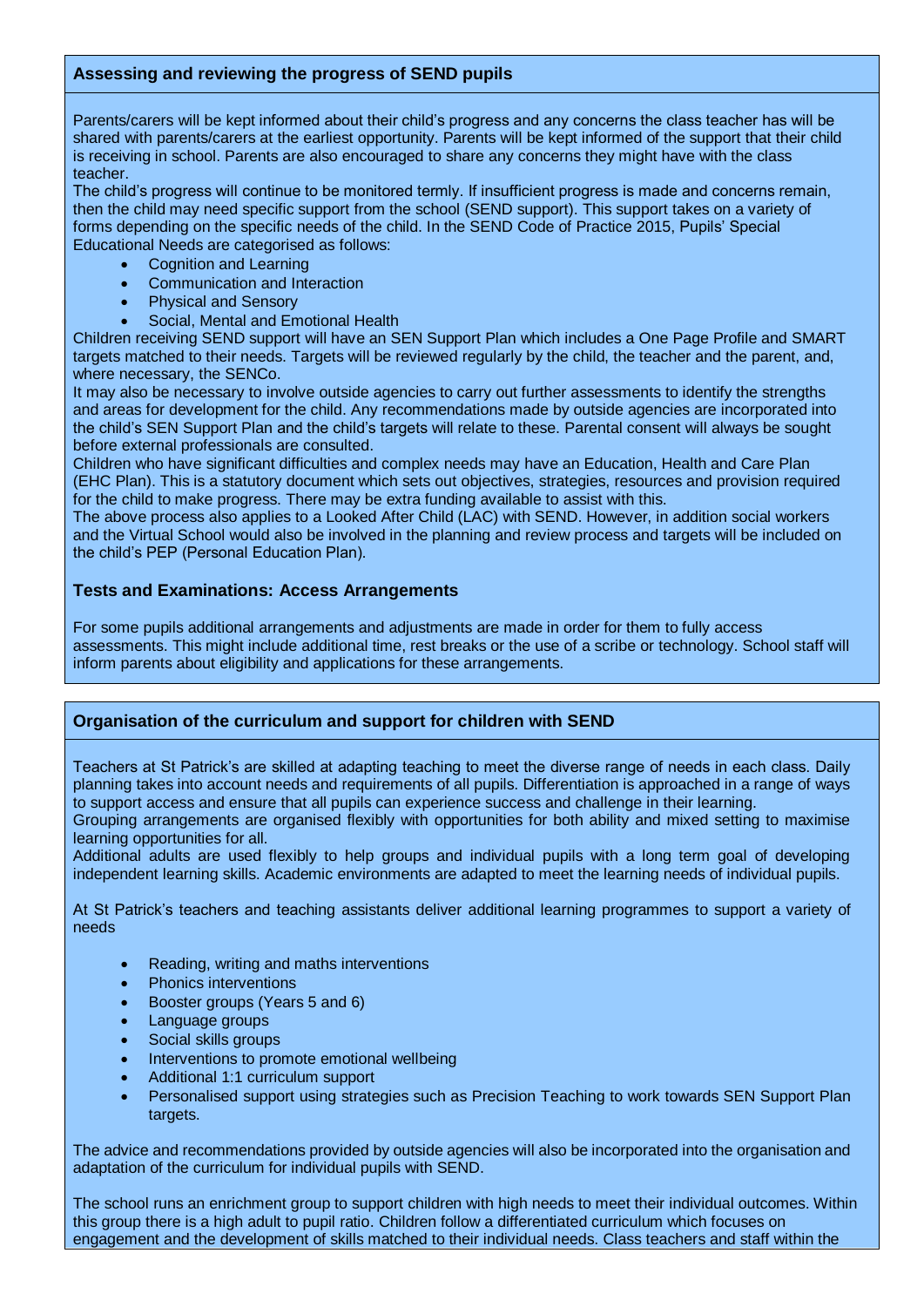## **Assessing and reviewing the progress of SEND pupils**

Parents/carers will be kept informed about their child's progress and any concerns the class teacher has will be shared with parents/carers at the earliest opportunity. Parents will be kept informed of the support that their child is receiving in school. Parents are also encouraged to share any concerns they might have with the class teacher.

The child's progress will continue to be monitored termly. If insufficient progress is made and concerns remain, then the child may need specific support from the school (SEND support). This support takes on a variety of forms depending on the specific needs of the child. In the SEND Code of Practice 2015, Pupils' Special Educational Needs are categorised as follows:

- Cognition and Learning
- Communication and Interaction
- Physical and Sensory
- Social, Mental and Emotional Health

Children receiving SEND support will have an SEN Support Plan which includes a One Page Profile and SMART targets matched to their needs. Targets will be reviewed regularly by the child, the teacher and the parent, and, where necessary, the SENCo.

It may also be necessary to involve outside agencies to carry out further assessments to identify the strengths and areas for development for the child. Any recommendations made by outside agencies are incorporated into the child's SEN Support Plan and the child's targets will relate to these. Parental consent will always be sought before external professionals are consulted.

Children who have significant difficulties and complex needs may have an Education, Health and Care Plan (EHC Plan). This is a statutory document which sets out objectives, strategies, resources and provision required for the child to make progress. There may be extra funding available to assist with this.

The above process also applies to a Looked After Child (LAC) with SEND. However, in addition social workers and the Virtual School would also be involved in the planning and review process and targets will be included on the child's PEP (Personal Education Plan).

## **Tests and Examinations: Access Arrangements**

For some pupils additional arrangements and adjustments are made in order for them to fully access assessments. This might include additional time, rest breaks or the use of a scribe or technology. School staff will inform parents about eligibility and applications for these arrangements.

## **Organisation of the curriculum and support for children with SEND**

Teachers at St Patrick's are skilled at adapting teaching to meet the diverse range of needs in each class. Daily planning takes into account needs and requirements of all pupils. Differentiation is approached in a range of ways to support access and ensure that all pupils can experience success and challenge in their learning.

Grouping arrangements are organised flexibly with opportunities for both ability and mixed setting to maximise learning opportunities for all.

Additional adults are used flexibly to help groups and individual pupils with a long term goal of developing independent learning skills. Academic environments are adapted to meet the learning needs of individual pupils.

At St Patrick's teachers and teaching assistants deliver additional learning programmes to support a variety of needs

- Reading, writing and maths interventions
- Phonics interventions
- Booster groups (Years 5 and 6)
- Language groups
- Social skills groups
- Interventions to promote emotional wellbeing
- Additional 1:1 curriculum support
- Personalised support using strategies such as Precision Teaching to work towards SEN Support Plan targets.

The advice and recommendations provided by outside agencies will also be incorporated into the organisation and adaptation of the curriculum for individual pupils with SEND.

The school runs an enrichment group to support children with high needs to meet their individual outcomes. Within this group there is a high adult to pupil ratio. Children follow a differentiated curriculum which focuses on engagement and the development of skills matched to their individual needs. Class teachers and staff within the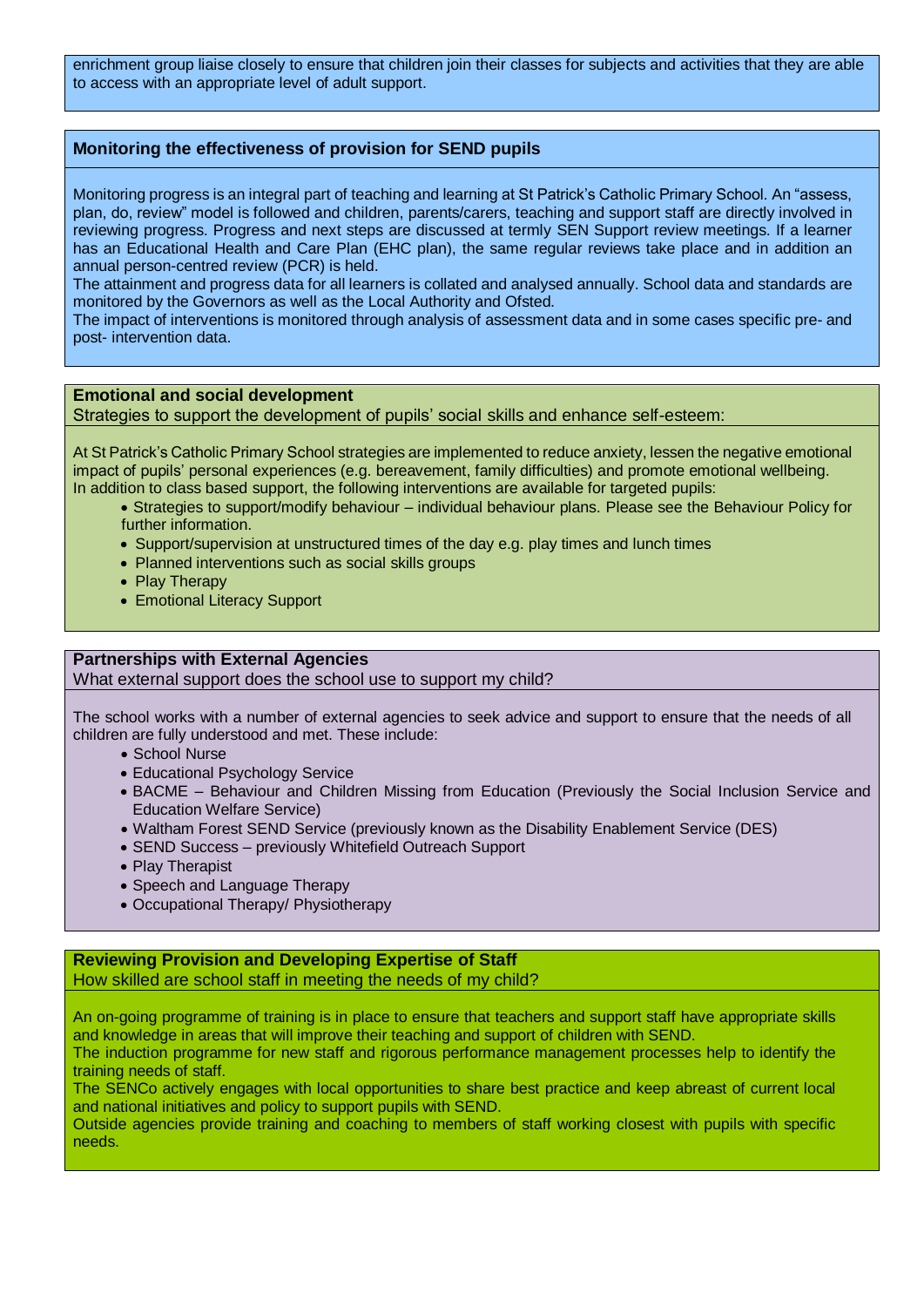enrichment group liaise closely to ensure that children join their classes for subjects and activities that they are able to access with an appropriate level of adult support.

## **Monitoring the effectiveness of provision for SEND pupils**

Monitoring progress is an integral part of teaching and learning at St Patrick's Catholic Primary School. An "assess, plan, do, review" model is followed and children, parents/carers, teaching and support staff are directly involved in reviewing progress. Progress and next steps are discussed at termly SEN Support review meetings. If a learner has an Educational Health and Care Plan (EHC plan), the same regular reviews take place and in addition an annual person-centred review (PCR) is held.

The attainment and progress data for all learners is collated and analysed annually. School data and standards are monitored by the Governors as well as the Local Authority and Ofsted.

The impact of interventions is monitored through analysis of assessment data and in some cases specific pre- and post- intervention data.

#### **Emotional and social development**

Strategies to support the development of pupils' social skills and enhance self-esteem:

At St Patrick's Catholic Primary School strategies are implemented to reduce anxiety, lessen the negative emotional impact of pupils' personal experiences (e.g. bereavement, family difficulties) and promote emotional wellbeing. In addition to class based support, the following interventions are available for targeted pupils:

- Strategies to support/modify behaviour individual behaviour plans. Please see the Behaviour Policy for further information.
- Support/supervision at unstructured times of the day e.g. play times and lunch times
- Planned interventions such as social skills groups
- Play Therapy
- Emotional Literacy Support

## **Partnerships with External Agencies**

What external support does the school use to support my child?

The school works with a number of external agencies to seek advice and support to ensure that the needs of all children are fully understood and met. These include:

- School Nurse
- Educational Psychology Service
- BACME Behaviour and Children Missing from Education (Previously the Social Inclusion Service and Education Welfare Service)
- Waltham Forest SEND Service (previously known as the Disability Enablement Service (DES)
- SEND Success previously Whitefield Outreach Support
- Play Therapist
- Speech and Language Therapy
- Occupational Therapy/ Physiotherapy

## **Reviewing Provision and Developing Expertise of Staff**

How skilled are school staff in meeting the needs of my child?

An on-going programme of training is in place to ensure that teachers and support staff have appropriate skills and knowledge in areas that will improve their teaching and support of children with SEND.

The induction programme for new staff and rigorous performance management processes help to identify the training needs of staff.

The SENCo actively engages with local opportunities to share best practice and keep abreast of current local and national initiatives and policy to support pupils with SEND.

Outside agencies provide training and coaching to members of staff working closest with pupils with specific needs.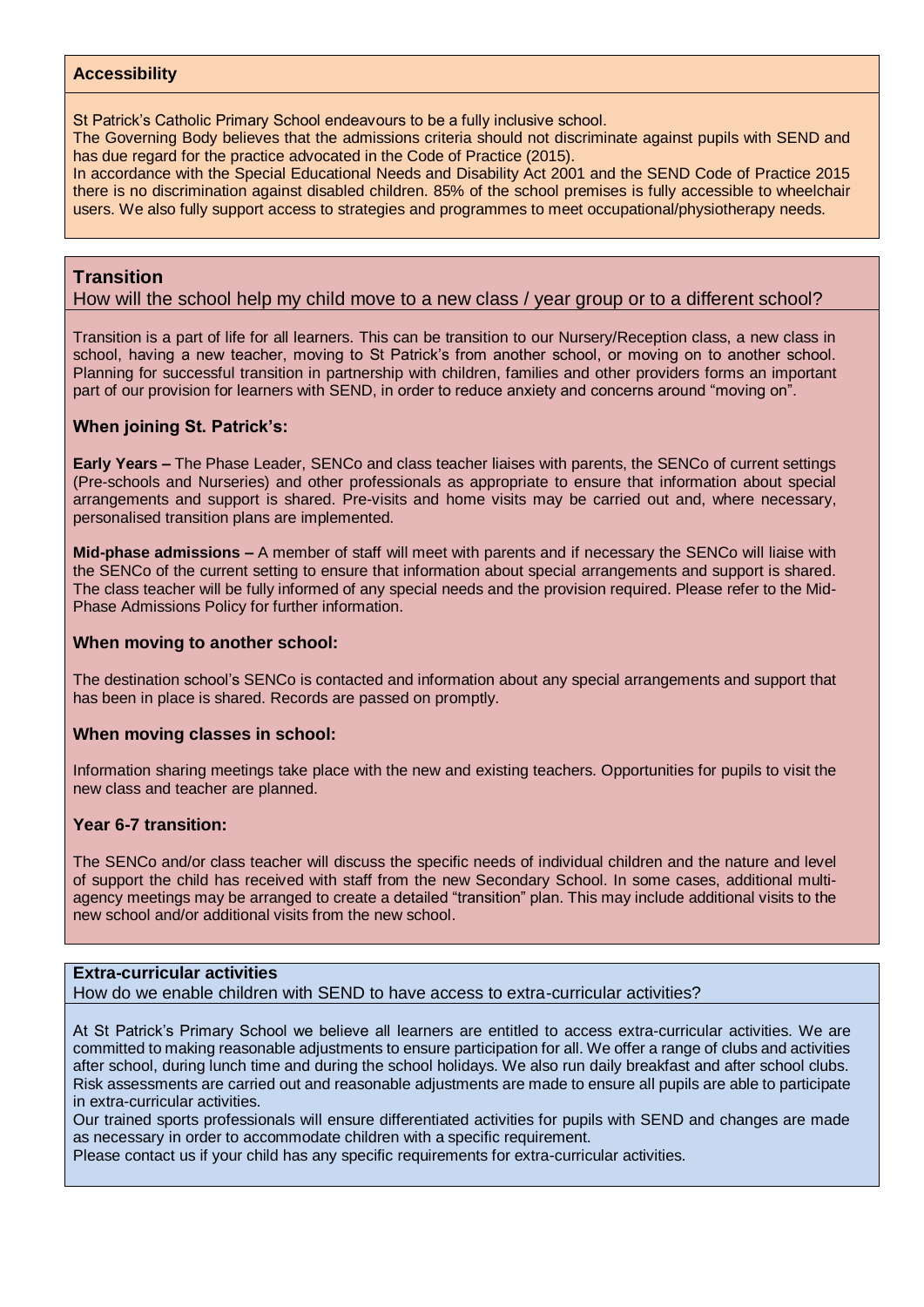### **Accessibility**

St Patrick's Catholic Primary School endeavours to be a fully inclusive school.

The Governing Body believes that the admissions criteria should not discriminate against pupils with SEND and has due regard for the practice advocated in the Code of Practice (2015).

In accordance with the Special Educational Needs and Disability Act 2001 and the SEND Code of Practice 2015 there is no discrimination against disabled children. 85% of the school premises is fully accessible to wheelchair users. We also fully support access to strategies and programmes to meet occupational/physiotherapy needs.

## **Transition**

How will the school help my child move to a new class / year group or to a different school?

Transition is a part of life for all learners. This can be transition to our Nursery/Reception class, a new class in school, having a new teacher, moving to St Patrick's from another school, or moving on to another school. Planning for successful transition in partnership with children, families and other providers forms an important part of our provision for learners with SEND, in order to reduce anxiety and concerns around "moving on".

#### **When joining St. Patrick's:**

**Early Years –** The Phase Leader, SENCo and class teacher liaises with parents, the SENCo of current settings (Pre-schools and Nurseries) and other professionals as appropriate to ensure that information about special arrangements and support is shared. Pre-visits and home visits may be carried out and, where necessary, personalised transition plans are implemented.

**Mid-phase admissions –** A member of staff will meet with parents and if necessary the SENCo will liaise with the SENCo of the current setting to ensure that information about special arrangements and support is shared. The class teacher will be fully informed of any special needs and the provision required. Please refer to the Mid-Phase Admissions Policy for further information.

#### **When moving to another school:**

The destination school's SENCo is contacted and information about any special arrangements and support that has been in place is shared. Records are passed on promptly.

#### **When moving classes in school:**

Information sharing meetings take place with the new and existing teachers. Opportunities for pupils to visit the new class and teacher are planned.

#### **Year 6-7 transition:**

The SENCo and/or class teacher will discuss the specific needs of individual children and the nature and level of support the child has received with staff from the new Secondary School. In some cases, additional multiagency meetings may be arranged to create a detailed "transition" plan. This may include additional visits to the new school and/or additional visits from the new school.

#### **Extra-curricular activities**

How do we enable children with SEND to have access to extra-curricular activities?

At St Patrick's Primary School we believe all learners are entitled to access extra-curricular activities. We are committed to making reasonable adjustments to ensure participation for all. We offer a range of clubs and activities after school, during lunch time and during the school holidays. We also run daily breakfast and after school clubs. Risk assessments are carried out and reasonable adjustments are made to ensure all pupils are able to participate in extra-curricular activities.

Our trained sports professionals will ensure differentiated activities for pupils with SEND and changes are made as necessary in order to accommodate children with a specific requirement.

Please contact us if your child has any specific requirements for extra-curricular activities.